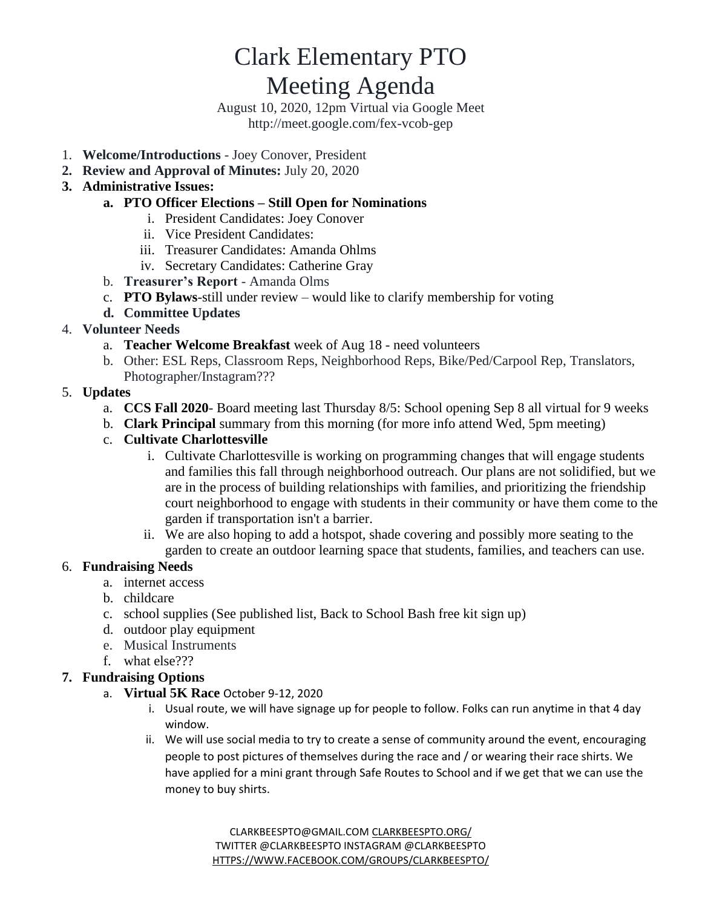# Clark Elementary PTO

# Meeting Agenda

August 10, 2020, 12pm Virtual via Google Meet http://meet.google.com/fex-vcob-gep

- 1. **Welcome/Introductions** Joey Conover, President
- **2. Review and Approval of Minutes:** July 20, 2020
- **3. Administrative Issues:**

#### **a. PTO Officer Elections – Still Open for Nominations**

- i. President Candidates: Joey Conover
- ii. Vice President Candidates:
- iii. Treasurer Candidates: Amanda Ohlms
- iv. Secretary Candidates: Catherine Gray
- b. **Treasurer's Report** Amanda Olms
- c. **PTO Bylaws**-still under review would like to clarify membership for voting
- **d. Committee Updates**

#### 4. **Volunteer Needs**

- a. **Teacher Welcome Breakfast** week of Aug 18 need volunteers
- b. Other: ESL Reps, Classroom Reps, Neighborhood Reps, Bike/Ped/Carpool Rep, Translators, Photographer/Instagram???

#### 5. **Updates**

- a. **CCS Fall 2020** Board meeting last Thursday 8/5: School opening Sep 8 all virtual for 9 weeks
- b. **Clark Principal** summary from this morning (for more info attend Wed, 5pm meeting)
- c. **Cultivate Charlottesville**
	- i. Cultivate Charlottesville is working on programming changes that will engage students and families this fall through neighborhood outreach. Our plans are not solidified, but we are in the process of building relationships with families, and prioritizing the friendship court neighborhood to engage with students in their community or have them come to the garden if transportation isn't a barrier.
	- ii. We are also hoping to add a hotspot, shade covering and possibly more seating to the garden to create an outdoor learning space that students, families, and teachers can use.

#### 6. **Fundraising Needs**

- a. internet access
	- b. childcare
	- c. school supplies (See published list, Back to School Bash free kit sign up)
	- d. outdoor play equipment
	- e. Musical Instruments
	- f. what else???

#### **7. Fundraising Options**

- a. **Virtual 5K Race** October 9-12, 2020
	- i. Usual route, we will have signage up for people to follow. Folks can run anytime in that 4 day window.
	- ii. We will use social media to try to create a sense of community around the event, encouraging people to post pictures of themselves during the race and / or wearing their race shirts. We have applied for a mini grant through Safe Routes to School and if we get that we can use the money to buy shirts.

[CLARKBEESPTO@GMAIL.COM](mailto:clarkbeespto@gmail.com) [CLARKBEESPTO.ORG/](https://www.clarkbeespto.org/) TWITTER @CLARKBEESPTO INSTAGRAM @CLARKBEESPTO [HTTPS://WWW.FACEBOOK.COM/GROUPS/CLARKBEESPTO/](https://www.facebook.com/groups/ClarkBeesPTO/)